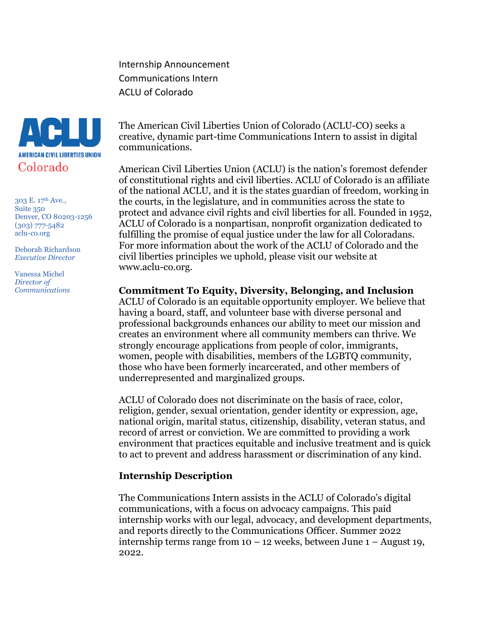Internship Announcement Communications Intern ACLU of Colorado



303 E. 17th Ave., Suite 350 Denver, CO 80203-1256 (303) 777-5482 aclu-co.org

Deborah Richardson *Executive Director*

Vanessa Michel *Director of Communications* The American Civil Liberties Union of Colorado (ACLU-CO) seeks a creative, dynamic part-time Communications Intern to assist in digital communications.

American Civil Liberties Union (ACLU) is the nation's foremost defender of constitutional rights and civil liberties. ACLU of Colorado is an affiliate of the national ACLU, and it is the states guardian of freedom, working in the courts, in the legislature, and in communities across the state to protect and advance civil rights and civil liberties for all. Founded in 1952, ACLU of Colorado is a nonpartisan, nonprofit organization dedicated to fulfilling the promise of equal justice under the law for all Coloradans. For more information about the work of the ACLU of Colorado and the civil liberties principles we uphold, please visit our website at www.aclu-co.org.

**Commitment To Equity, Diversity, Belonging, and Inclusion**

ACLU of Colorado is an equitable opportunity employer. We believe that having a board, staff, and volunteer base with diverse personal and professional backgrounds enhances our ability to meet our mission and creates an environment where all community members can thrive. We strongly encourage applications from people of color, immigrants, women, people with disabilities, members of the LGBTQ community, those who have been formerly incarcerated, and other members of underrepresented and marginalized groups.

ACLU of Colorado does not discriminate on the basis of race, color, religion, gender, sexual orientation, gender identity or expression, age, national origin, marital status, citizenship, disability, veteran status, and record of arrest or conviction. We are committed to providing a work environment that practices equitable and inclusive treatment and is quick to act to prevent and address harassment or discrimination of any kind.

#### **Internship Description**

The Communications Intern assists in the ACLU of Colorado's digital communications, with a focus on advocacy campaigns. This paid internship works with our legal, advocacy, and development departments, and reports directly to the Communications Officer. Summer 2022 internship terms range from  $10 - 12$  weeks, between June  $1 -$  August 19, 2022.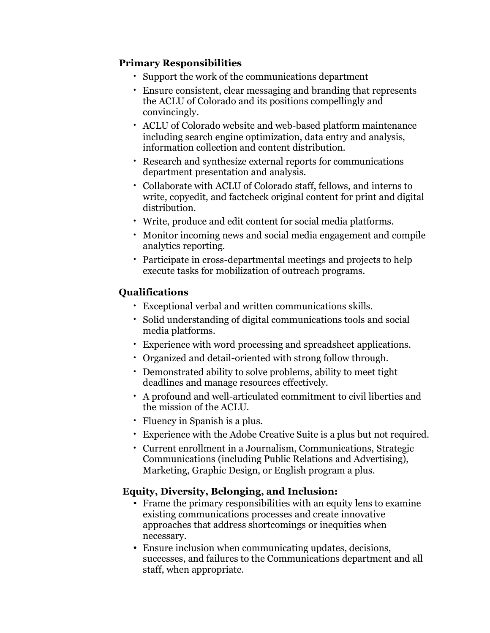### **Primary Responsibilities**

- Support the work of the communications department
- Ensure consistent, clear messaging and branding that represents the ACLU of Colorado and its positions compellingly and convincingly.
- ACLU of Colorado website and web-based platform maintenance including search engine optimization, data entry and analysis, information collection and content distribution.
- Research and synthesize external reports for communications department presentation and analysis.
- Collaborate with ACLU of Colorado staff, fellows, and interns to write, copyedit, and factcheck original content for print and digital distribution.
- Write, produce and edit content for social media platforms.
- Monitor incoming news and social media engagement and compile analytics reporting.
- Participate in cross-departmental meetings and projects to help execute tasks for mobilization of outreach programs.

# **Qualifications**

- Exceptional verbal and written communications skills.
- Solid understanding of digital communications tools and social media platforms.
- Experience with word processing and spreadsheet applications.
- Organized and detail-oriented with strong follow through.
- Demonstrated ability to solve problems, ability to meet tight deadlines and manage resources effectively.
- A profound and well-articulated commitment to civil liberties and the mission of the ACLU.
- Fluency in Spanish is a plus.
- Experience with the Adobe Creative Suite is a plus but not required.
- Current enrollment in a Journalism, Communications, Strategic Communications (including Public Relations and Advertising), Marketing, Graphic Design, or English program a plus.

# **Equity, Diversity, Belonging, and Inclusion:**

- Frame the primary responsibilities with an equity lens to examine existing communications processes and create innovative approaches that address shortcomings or inequities when necessary.
- Ensure inclusion when communicating updates, decisions, successes, and failures to the Communications department and all staff, when appropriate.